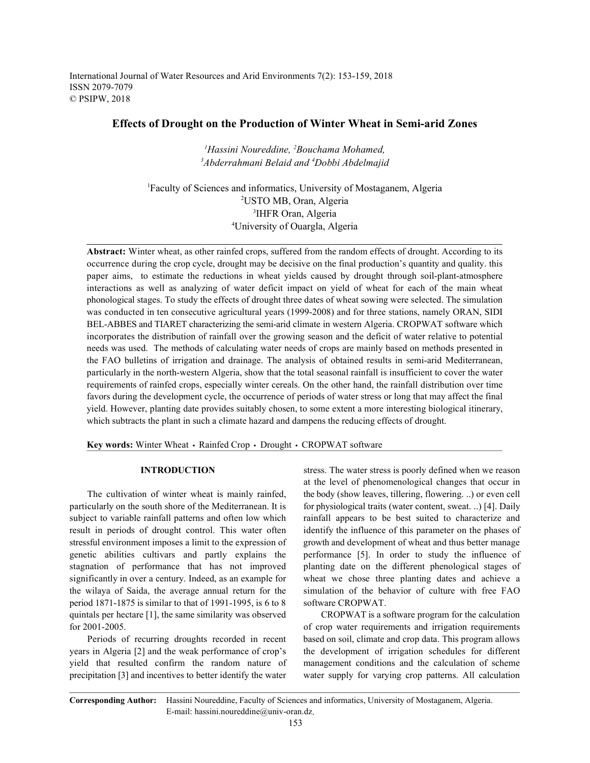International Journal of Water Resources and Arid Environments 7(2): 153-159, 2018 ISSN 2079-7079 © PSIPW, 2018

# **Effects of Drought on the Production of Winter Wheat in Semi-arid Zones**

*Hassini Noureddine, Bouchama Mohamed, 1 2 Abderrahmani Belaid and Dobbi Abdelmajid 3 4*

Faculty of Sciences and informatics, University of Mostaganem, Algeria <sup>1</sup> USTO MB, Oran, Algeria <sup>2</sup> <sup>3</sup>IHFR Oran, Algeria University of Ouargla, Algeria <sup>4</sup>

**Abstract:** Winter wheat, as other rainfed crops, suffered from the random effects of drought. According to its occurrence during the crop cycle, drought may be decisive on the final production's quantity and quality. this paper aims, to estimate the reductions in wheat yields caused by drought through soil-plant-atmosphere interactions as well as analyzing of water deficit impact on yield of wheat for each of the main wheat phonological stages. To study the effects of drought three dates of wheat sowing were selected. The simulation was conducted in ten consecutive agricultural years (1999-2008) and for three stations, namely ORAN, SIDI BEL-ABBES and TIARET characterizing the semi-arid climate in western Algeria. CROPWAT software which incorporates the distribution of rainfall over the growing season and the deficit of water relative to potential needs was used. The methods of calculating water needs of crops are mainly based on methods presented in the FAO bulletins of irrigation and drainage. The analysis of obtained results in semi-arid Mediterranean, particularly in the north-western Algeria, show that the total seasonal rainfall is insufficient to cover the water requirements of rainfed crops, especially winter cereals. On the other hand, the rainfall distribution over time favors during the development cycle, the occurrence of periods of water stress or long that may affect the final yield. However, planting date provides suitably chosen, to some extent a more interesting biological itinerary, which subtracts the plant in such a climate hazard and dampens the reducing effects of drought.

Key words: Winter Wheat · Rainfed Crop · Drought · CROPWAT software

particularly on the south shore of the Mediterranean. It is for physiological traits (water content, sweat. ..) [4]. Daily subject to variable rainfall patterns and often low which rainfall appears to be best suited to characterize and result in periods of drought control. This water often identify the influence of this parameter on the phases of stressful environment imposes a limit to the expression of growth and development of wheat and thus better manage genetic abilities cultivars and partly explains the performance [5]. In order to study the influence of stagnation of performance that has not improved planting date on the different phenological stages of significantly in over a century. Indeed, as an example for wheat we chose three planting dates and achieve a the wilaya of Saida, the average annual return for the simulation of the behavior of culture with free FAO period 1871-1875 is similar to that of 1991-1995, is 6 to 8 software CROPWAT. quintals per hectare [1], the same similarity was observed CROPWAT is a software program for the calculation for 2001-2005. **of crop water requirements and irrigation requirements** 

years in Algeria [2] and the weak performance of crop's the development of irrigation schedules for different yield that resulted confirm the random nature of management conditions and the calculation of scheme precipitation [3] and incentives to better identify the water water supply for varying crop patterns. All calculation

**INTRODUCTION** stress. The water stress is poorly defined when we reason The cultivation of winter wheat is mainly rainfed, the body (show leaves, tillering, flowering. ..) or even cell at the level of phenomenological changes that occur in

Periods of recurring droughts recorded in recent based on soil, climate and crop data. This program allows

**Corresponding Author:** Hassini Noureddine, Faculty of Sciences and informatics, University of Mostaganem, Algeria. E-mail: hassini.noureddine@univ-oran.dz.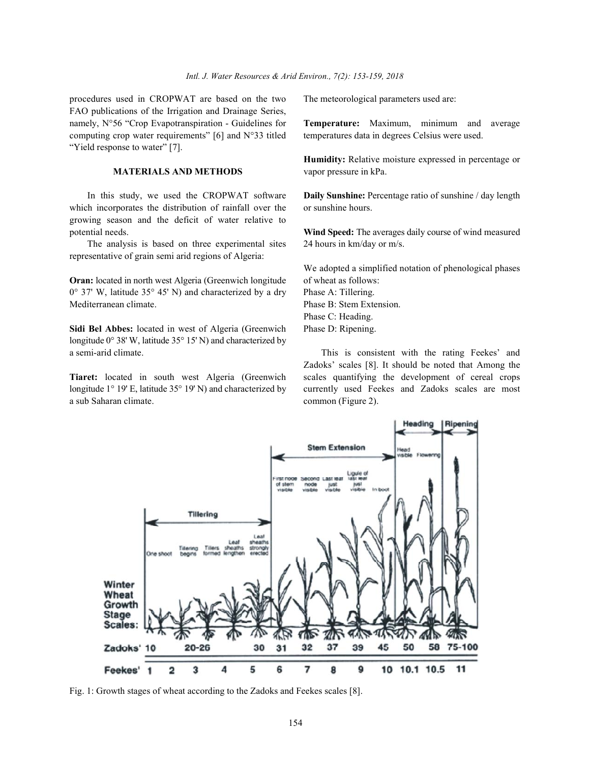procedures used in CROPWAT are based on the two The meteorological parameters used are: FAO publications of the Irrigation and Drainage Series, namely, N°56 "Crop Evapotranspiration - Guidelines for **Temperature:** Maximum, minimum and average computing crop water requirements" [6] and N°33 titled temperatures data in degrees Celsius were used. "Yield response to water" [7].

### **MATERIALS AND METHODS** vapor pressure in kPa.

which incorporates the distribution of rainfall over the or sunshine hours. growing season and the deficit of water relative to potential needs. **Wind Speed:** The averages daily course of wind measured

The analysis is based on three experimental sites 24 hours in km/day or m/s. representative of grain semi arid regions of Algeria:

**Oran:** located in north west Algeria (Greenwich longitude of wheat as follows:  $0^{\circ}$  37' W, latitude 35 $^{\circ}$  45' N) and characterized by a dry Phase A: Tillering. Mediterranean climate. Phase B: Stem Extension.

**Sidi Bel Abbes:** located in west of Algeria (Greenwich Phase D: Ripening. longitude 0° 38' W, latitude 35° 15' N) and characterized by a semi-arid climate. This is consistent with the rating Feekes' and

a sub Saharan climate. common (Figure 2).

**Humidity:** Relative moisture expressed in percentage or

In this study, we used the CROPWAT software **Daily Sunshine:** Percentage ratio of sunshine / day length

We adopted a simplified notation of phenological phases Phase C: Heading.

**Tiaret:** located in south west Algeria (Greenwich scales quantifying the development of cereal crops longitude 1° 19' E, latitude 35° 19' N) and characterized by currently used Feekes and Zadoks scales are most Zadoks' scales [8]. It should be noted that Among the



Fig. 1: Growth stages of wheat according to the Zadoks and Feekes scales [8].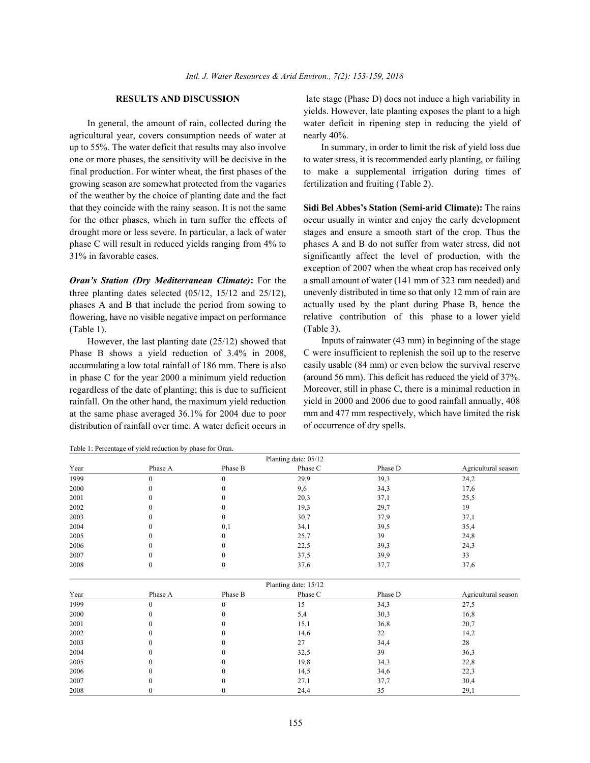agricultural year, covers consumption needs of water at nearly 40%. up to 55%. The water deficit that results may also involve In summary, in order to limit the risk of yield loss due growing season are somewhat protected from the vagaries fertilization and fruiting (Table 2). of the weather by the choice of planting date and the fact that they coincide with the rainy season. It is not the same **Sidi Bel Abbes's Station (Semi-arid Climate):** The rains for the other phases, which in turn suffer the effects of occur usually in winter and enjoy the early development drought more or less severe. In particular, a lack of water stages and ensure a smooth start of the crop. Thus the phase C will result in reduced yields ranging from 4% to phases A and B do not suffer from water stress, did not 31% in favorable cases. significantly affect the level of production, with the

three planting dates selected (05/12, 15/12 and 25/12), phases A and B that include the period from sowing to flowering, have no visible negative impact on performance (Table 1).

However, the last planting date (25/12) showed that Phase B shows a yield reduction of 3.4% in 2008, accumulating a low total rainfall of 186 mm. There is also in phase C for the year 2000 a minimum yield reduction regardless of the date of planting; this is due to sufficient rainfall. On the other hand, the maximum yield reduction at the same phase averaged 36.1% for 2004 due to poor distribution of rainfall over time. A water deficit occurs in

Table 1: Percentage of yield reduction by phase for Oran.

**RESULTS AND DISCUSSION** late stage (Phase D) does not induce a high variability in In general, the amount of rain, collected during the water deficit in ripening step in reducing the yield of yields. However, late planting exposes the plant to a high

one or more phases, the sensitivity will be decisive in the to water stress, it is recommended early planting, or failing final production. For winter wheat, the first phases of the to make a supplemental irrigation during times of

*Oran's Station (Dry Mediterranean Climate)***:** For the a small amount of water (141 mm of 323 mm needed) and exception of 2007 when the wheat crop has received only unevenly distributed in time so that only 12 mm of rain are actually used by the plant during Phase B, hence the relative contribution of this phase to a lower yield (Table 3).

> Inputs of rainwater (43 mm) in beginning of the stage C were insufficient to replenish the soil up to the reserve easily usable (84 mm) or even below the survival reserve (around 56 mm). This deficit has reduced the yield of 37%. Moreover, still in phase C, there is a minimal reduction in yield in 2000 and 2006 due to good rainfall annually, 408 mm and 477 mm respectively, which have limited the risk of occurrence of dry spells.

|      |              |              | Planting date: 05/12 |         |                     |
|------|--------------|--------------|----------------------|---------|---------------------|
| Year | Phase A      | Phase B      | Phase C              | Phase D | Agricultural season |
| 1999 | $\mathbf{0}$ | $\mathbf{0}$ | 29,9                 | 39,3    | 24,2                |
| 2000 | $\Omega$     | $\theta$     | 9,6                  | 34,3    | 17,6                |
| 2001 | $\Omega$     | $\theta$     | 20,3                 | 37,1    | 25,5                |
| 2002 |              | $\theta$     | 19,3                 | 29,7    | 19                  |
| 2003 |              | $\bf{0}$     | 30,7                 | 37,9    | 37,1                |
| 2004 | 0            | 0,1          | 34,1                 | 39,5    | 35,4                |
| 2005 |              | 0            | 25,7                 | 39      | 24,8                |
| 2006 |              | 0            | 22,5                 | 39,3    | 24,3                |
| 2007 | 0            | 0            | 37,5                 | 39,9    | 33                  |
| 2008 | $\mathbf{0}$ | $\mathbf{0}$ | 37,6                 | 37,7    | 37,6                |
|      |              |              | Planting date: 15/12 |         |                     |
| Year | Phase A      | Phase B      | Phase C              | Phase D | Agricultural season |
| 1999 | $\theta$     | $\Omega$     | 15                   | 34,3    | 27,5                |
| 2000 | 0            | 0            | 5,4                  | 30,3    | 16,8                |
| 2001 |              | 0            | 15,1                 | 36,8    | 20,7                |
| 2002 | 0            | $\Omega$     | 14,6                 | 22      | 14,2                |
| 2003 |              |              | 27                   | 34,4    | 28                  |
| 2004 | n            | 0            | 32,5                 | 39      | 36,3                |
| 2005 |              | 0            | 19,8                 | 34,3    | 22,8                |
| 2006 |              | $\theta$     | 14,5                 | 34,6    | 22,3                |
| 2007 |              | $\theta$     | 27,1                 | 37,7    | 30,4                |
| 2008 | $\Omega$     | $\mathbf{0}$ | 24,4                 | 35      | 29,1                |

155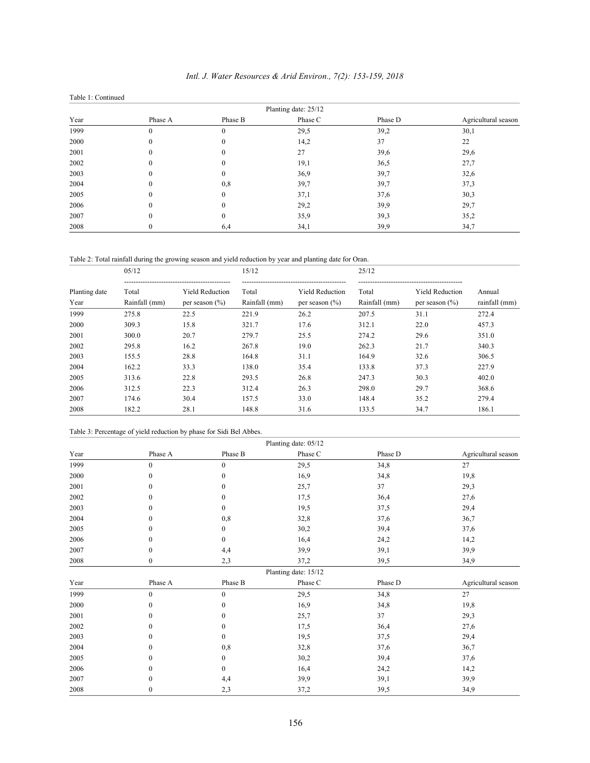| Table 1: Continued |                      |          |         |         |                     |  |  |  |  |
|--------------------|----------------------|----------|---------|---------|---------------------|--|--|--|--|
|                    | Planting date: 25/12 |          |         |         |                     |  |  |  |  |
| Year               | Phase A              | Phase B  | Phase C | Phase D | Agricultural season |  |  |  |  |
| 1999               |                      | $\theta$ | 29,5    | 39,2    | 30,1                |  |  |  |  |
| 2000               |                      | $\theta$ | 14,2    | 37      | 22                  |  |  |  |  |
| 2001               |                      | $\theta$ | 27      | 39,6    | 29,6                |  |  |  |  |
| 2002               |                      | $\theta$ | 19,1    | 36,5    | 27,7                |  |  |  |  |
| 2003               |                      | 0        | 36,9    | 39,7    | 32,6                |  |  |  |  |
| 2004               |                      | 0,8      | 39,7    | 39,7    | 37,3                |  |  |  |  |
| 2005               |                      | $\theta$ | 37,1    | 37,6    | 30,3                |  |  |  |  |
| 2006               |                      | $\theta$ | 29,2    | 39,9    | 29,7                |  |  |  |  |
| 2007               |                      | $\theta$ | 35,9    | 39,3    | 35,2                |  |  |  |  |
| 2008               |                      | 6,4      | 34,1    | 39,9    | 34,7                |  |  |  |  |

# *Intl. J. Water Resources & Arid Environ., 7(2): 153-159, 2018*

Table 2: Total rainfall during the growing season and yield reduction by year and planting date for Oran.

|                       | 0.5/12                 |                                              | 15/12                  |                                              | 25/12                  |                                              |                         |
|-----------------------|------------------------|----------------------------------------------|------------------------|----------------------------------------------|------------------------|----------------------------------------------|-------------------------|
| Planting date<br>Year | Total<br>Rainfall (mm) | <b>Yield Reduction</b><br>per season $(\% )$ | Total<br>Rainfall (mm) | <b>Yield Reduction</b><br>per season $(\% )$ | Total<br>Rainfall (mm) | <b>Yield Reduction</b><br>per season $(\% )$ | Annual<br>rainfall (mm) |
| 1999                  | 275.8                  | 22.5                                         | 221.9                  | 26.2                                         | 207.5                  | 31.1                                         | 272.4                   |
| 2000                  | 309.3                  | 15.8                                         | 321.7                  | 17.6                                         | 312.1                  | 22.0                                         | 457.3                   |
| 2001                  | 300.0                  | 20.7                                         | 279.7                  | 25.5                                         | 274.2                  | 29.6                                         | 351.0                   |
| 2002                  | 295.8                  | 16.2                                         | 267.8                  | 19.0                                         | 262.3                  | 21.7                                         | 340.3                   |
| 2003                  | 155.5                  | 28.8                                         | 164.8                  | 31.1                                         | 164.9                  | 32.6                                         | 306.5                   |
| 2004                  | 162.2                  | 33.3                                         | 138.0                  | 35.4                                         | 133.8                  | 37.3                                         | 227.9                   |
| 2005                  | 313.6                  | 22.8                                         | 293.5                  | 26.8                                         | 247.3                  | 30.3                                         | 402.0                   |
| 2006                  | 312.5                  | 22.3                                         | 312.4                  | 26.3                                         | 298.0                  | 29.7                                         | 368.6                   |
| 2007                  | 174.6                  | 30.4                                         | 157.5                  | 33.0                                         | 148.4                  | 35.2                                         | 279.4                   |
| 2008                  | 182.2                  | 28.1                                         | 148.8                  | 31.6                                         | 133.5                  | 34.7                                         | 186.1                   |

Table 3: Percentage of yield reduction by phase for Sidi Bel Abbes.

|      | Planting date: 05/12 |              |                      |         |                     |  |  |  |
|------|----------------------|--------------|----------------------|---------|---------------------|--|--|--|
| Year | Phase A              | Phase B      | Phase C              | Phase D | Agricultural season |  |  |  |
| 1999 | $\mathbf{0}$         | $\mathbf{0}$ | 29,5                 | 34,8    | 27                  |  |  |  |
| 2000 | $\theta$             | $\theta$     | 16,9                 | 34,8    | 19,8                |  |  |  |
| 2001 | $\theta$             | $\theta$     | 25,7                 | 37      | 29,3                |  |  |  |
| 2002 | $\theta$             | $\theta$     | 17,5                 | 36,4    | 27,6                |  |  |  |
| 2003 | $\theta$             | $\Omega$     | 19,5                 | 37,5    | 29,4                |  |  |  |
| 2004 | $\theta$             | 0,8          | 32,8                 | 37,6    | 36,7                |  |  |  |
| 2005 | $\theta$             | 0            | 30,2                 | 39,4    | 37,6                |  |  |  |
| 2006 | $\theta$             | 0            | 16,4                 | 24,2    | 14,2                |  |  |  |
| 2007 | $\boldsymbol{0}$     | 4,4          | 39,9                 | 39,1    | 39,9                |  |  |  |
| 2008 | $\boldsymbol{0}$     | 2,3          | 37,2                 | 39,5    | 34,9                |  |  |  |
|      |                      |              | Planting date: 15/12 |         |                     |  |  |  |
| Year | Phase A              | Phase B      | Phase C              | Phase D | Agricultural season |  |  |  |
| 1999 | $\mathbf{0}$         | $\mathbf{0}$ | 29,5                 | 34,8    | 27                  |  |  |  |
| 2000 | $\boldsymbol{0}$     | 0            | 16,9                 | 34,8    | 19,8                |  |  |  |
| 2001 | $\mathbf{0}$         | 0            | 25,7                 | 37      | 29,3                |  |  |  |
| 2002 | $\mathbf{0}$         | 0            | 17,5                 | 36,4    | 27,6                |  |  |  |
| 2003 | $\theta$             | $\Omega$     | 19,5                 | 37,5    | 29,4                |  |  |  |
| 2004 | $\mathbf{0}$         | 0,8          | 32,8                 | 37,6    | 36,7                |  |  |  |
| 2005 | $\theta$             | 0            | 30,2                 | 39,4    | 37,6                |  |  |  |
| 2006 | $\theta$             | 0            | 16,4                 | 24,2    | 14,2                |  |  |  |
| 2007 | $\theta$             | 4,4          | 39,9                 | 39,1    | 39,9                |  |  |  |
| 2008 | $\mathbf{0}$         | 2,3          | 37,2                 | 39,5    | 34,9                |  |  |  |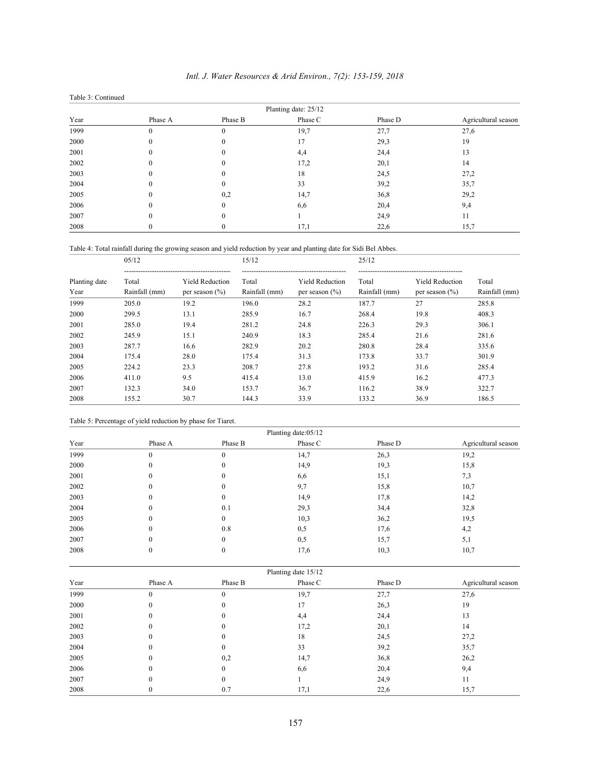| Table 3: Continued |                      |          |         |         |                     |  |  |  |  |
|--------------------|----------------------|----------|---------|---------|---------------------|--|--|--|--|
|                    | Planting date: 25/12 |          |         |         |                     |  |  |  |  |
| Year               | Phase A              | Phase B  | Phase C | Phase D | Agricultural season |  |  |  |  |
| 1999               |                      | $\theta$ | 19,7    | 27,7    | 27,6                |  |  |  |  |
| 2000               |                      | $\theta$ | 17      | 29,3    | 19                  |  |  |  |  |
| 2001               |                      | 0        | 4,4     | 24,4    | 13                  |  |  |  |  |
| 2002               |                      | 0        | 17,2    | 20,1    | 14                  |  |  |  |  |
| 2003               |                      |          | 18      | 24,5    | 27,2                |  |  |  |  |
| 2004               |                      | 0        | 33      | 39,2    | 35,7                |  |  |  |  |
| 2005               |                      | 0,2      | 14,7    | 36,8    | 29,2                |  |  |  |  |
| 2006               |                      | $\theta$ | 6,6     | 20,4    | 9,4                 |  |  |  |  |
| 2007               |                      | 0        |         | 24,9    | 11                  |  |  |  |  |
| 2008               |                      | $\bf{0}$ | 17,1    | 22,6    | 15,7                |  |  |  |  |

# *Intl. J. Water Resources & Arid Environ., 7(2): 153-159, 2018*

Table 4: Total rainfall during the growing season and yield reduction by year and planting date for Sidi Bel Abbes.

|               | 05/12         |                        | 15/12         |                        | 25/12         |                        |               |
|---------------|---------------|------------------------|---------------|------------------------|---------------|------------------------|---------------|
| Planting date | Total         | <b>Yield Reduction</b> | Total         | <b>Yield Reduction</b> | Total         | <b>Yield Reduction</b> | Total         |
| Year          | Rainfall (mm) | per season $(\% )$     | Rainfall (mm) | per season $(\% )$     | Rainfall (mm) | per season $(\% )$     | Rainfall (mm) |
| 1999          | 205.0         | 19.2                   | 196.0         | 28.2                   | 187.7         | 27                     | 285.8         |
| 2000          | 299.5         | 13.1                   | 285.9         | 16.7                   | 268.4         | 19.8                   | 408.3         |
| 2001          | 285.0         | 19.4                   | 281.2         | 24.8                   | 226.3         | 29.3                   | 306.1         |
| 2002          | 245.9         | 15.1                   | 240.9         | 18.3                   | 285.4         | 21.6                   | 281.6         |
| 2003          | 287.7         | 16.6                   | 282.9         | 20.2                   | 280.8         | 28.4                   | 335.6         |
| 2004          | 175.4         | 28.0                   | 175.4         | 31.3                   | 173.8         | 33.7                   | 301.9         |
| 2005          | 224.2         | 23.3                   | 208.7         | 27.8                   | 193.2         | 31.6                   | 285.4         |
| 2006          | 411.0         | 9.5                    | 415.4         | 13.0                   | 415.9         | 16.2                   | 477.3         |
| 2007          | 132.3         | 34.0                   | 153.7         | 36.7                   | 116.2         | 38.9                   | 322.7         |
| 2008          | 155.2         | 30.7                   | 144.3         | 33.9                   | 133.2         | 36.9                   | 186.5         |

Table 5: Percentage of yield reduction by phase for Tiaret.

|      | Planting date:05/12 |          |         |         |                     |  |  |  |
|------|---------------------|----------|---------|---------|---------------------|--|--|--|
| Year | Phase A             | Phase B  | Phase C | Phase D | Agricultural season |  |  |  |
| 1999 |                     | $\theta$ | 14,7    | 26,3    | 19,2                |  |  |  |
| 2000 |                     | $\Omega$ | 14,9    | 19,3    | 15,8                |  |  |  |
| 2001 |                     | $\Omega$ | 6,6     | 15,1    | 7,3                 |  |  |  |
| 2002 |                     | $\theta$ | 9,7     | 15,8    | 10,7                |  |  |  |
| 2003 |                     | 0        | 14,9    | 17,8    | 14,2                |  |  |  |
| 2004 |                     | 0.1      | 29,3    | 34,4    | 32,8                |  |  |  |
| 2005 |                     | $\Omega$ | 10,3    | 36,2    | 19,5                |  |  |  |
| 2006 |                     | 0.8      | 0,5     | 17,6    | 4,2                 |  |  |  |
| 2007 |                     | $\theta$ | 0,5     | 15,7    | 5,1                 |  |  |  |
| 2008 |                     |          | 17,6    | 10,3    | 10,7                |  |  |  |

|      | Planting date 15/12 |                  |         |         |                     |  |  |  |
|------|---------------------|------------------|---------|---------|---------------------|--|--|--|
| Year | Phase A             | Phase B          | Phase C | Phase D | Agricultural season |  |  |  |
| 1999 |                     | $\boldsymbol{0}$ | 19,7    | 27,7    | 27,6                |  |  |  |
| 2000 |                     | 0                | 17      | 26,3    | 19                  |  |  |  |
| 2001 |                     |                  | 4,4     | 24,4    | 13                  |  |  |  |
| 2002 |                     | 0                | 17,2    | 20,1    | 14                  |  |  |  |
| 2003 |                     | 0                | 18      | 24,5    | 27,2                |  |  |  |
| 2004 |                     | $\Omega$         | 33      | 39,2    | 35,7                |  |  |  |
| 2005 |                     | 0,2              | 14,7    | 36,8    | 26,2                |  |  |  |
| 2006 |                     | $\theta$         | 6,6     | 20,4    | 9,4                 |  |  |  |
| 2007 |                     | $\theta$         |         | 24,9    | 11                  |  |  |  |
| 2008 |                     | 0.7              | 17,1    | 22,6    | 15,7                |  |  |  |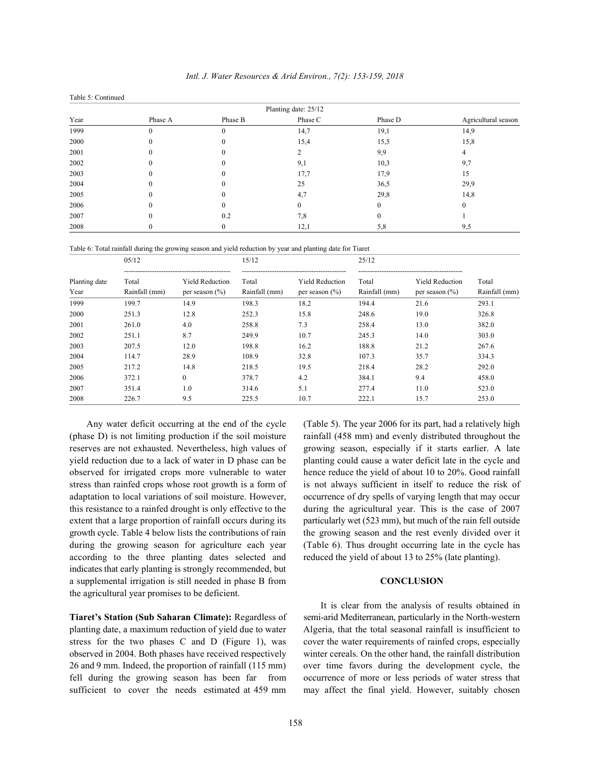|      | Planting date: 25/12 |          |          |         |                     |  |  |  |
|------|----------------------|----------|----------|---------|---------------------|--|--|--|
| Year | Phase A              | Phase B  | Phase C  | Phase D | Agricultural season |  |  |  |
| 1999 |                      | $\theta$ | 14,7     | 19,1    | 14,9                |  |  |  |
| 2000 |                      |          | 15,4     | 15,5    | 15,8                |  |  |  |
| 2001 |                      |          |          | 9,9     |                     |  |  |  |
| 2002 |                      |          | 9,1      | 10,3    | 9,7                 |  |  |  |
| 2003 |                      |          | 17,7     | 17,9    | 15                  |  |  |  |
| 2004 |                      |          | 25       | 36,5    | 29,9                |  |  |  |
| 2005 |                      |          | 4,7      | 29,8    | 14,8                |  |  |  |
| 2006 |                      |          | $\Omega$ |         |                     |  |  |  |
| 2007 |                      | 0.2      | 7,8      |         |                     |  |  |  |
| 2008 |                      |          | 12,1     | 5,8     | 9,5                 |  |  |  |

Table 6: Total rainfall during the growing season and yield reduction by year and planting date for Tiaret

Table 5: Continued

| Planting date<br>Year | 05/12                  |                                              | 15/12                  |                                              | 25/12                  |                                              |                        |
|-----------------------|------------------------|----------------------------------------------|------------------------|----------------------------------------------|------------------------|----------------------------------------------|------------------------|
|                       | Total<br>Rainfall (mm) | <b>Yield Reduction</b><br>per season $(\% )$ | Total<br>Rainfall (mm) | <b>Yield Reduction</b><br>per season $(\% )$ | Total<br>Rainfall (mm) | <b>Yield Reduction</b><br>per season $(\% )$ | Total<br>Rainfall (mm) |
| 1999                  | 199.7                  | 14.9                                         | 198.3                  | 18.2                                         | 194.4                  | 21.6                                         | 293.1                  |
| 2000                  | 251.3                  | 12.8                                         | 252.3                  | 15.8                                         | 248.6                  | 19.0                                         | 326.8                  |
| 2001                  | 261.0                  | 4.0                                          | 258.8                  | 7.3                                          | 258.4                  | 13.0                                         | 382.0                  |
| 2002                  | 251.1                  | 8.7                                          | 249.9                  | 10.7                                         | 245.3                  | 14.0                                         | 303.0                  |
| 2003                  | 207.5                  | 12.0                                         | 198.8                  | 16.2                                         | 188.8                  | 21.2                                         | 267.6                  |
| 2004                  | 114.7                  | 28.9                                         | 108.9                  | 32.8                                         | 107.3                  | 35.7                                         | 334.3                  |
| 2005                  | 217.2                  | 14.8                                         | 218.5                  | 19.5                                         | 218.4                  | 28.2                                         | 292.0                  |
| 2006                  | 372.1                  | $\Omega$                                     | 378.7                  | 4.2                                          | 384.1                  | 9.4                                          | 458.0                  |
| 2007                  | 351.4                  | 1.0                                          | 314.6                  | 5.1                                          | 277.4                  | 11.0                                         | 523.0                  |
| 2008                  | 226.7                  | 9.5                                          | 225.5                  | 10.7                                         | 222.1                  | 15.7                                         | 253.0                  |

(phase D) is not limiting production if the soil moisture rainfall (458 mm) and evenly distributed throughout the reserves are not exhausted. Nevertheless, high values of growing season, especially if it starts earlier. A late yield reduction due to a lack of water in D phase can be planting could cause a water deficit late in the cycle and observed for irrigated crops more vulnerable to water hence reduce the yield of about 10 to 20%. Good rainfall stress than rainfed crops whose root growth is a form of is not always sufficient in itself to reduce the risk of adaptation to local variations of soil moisture. However, occurrence of dry spells of varying length that may occur this resistance to a rainfed drought is only effective to the during the agricultural year. This is the case of 2007 extent that a large proportion of rainfall occurs during its particularly wet (523 mm), but much of the rain fell outside growth cycle. Table 4 below lists the contributions of rain the growing season and the rest evenly divided over it during the growing season for agriculture each year (Table 6). Thus drought occurring late in the cycle has according to the three planting dates selected and reduced the yield of about 13 to 25% (late planting). indicates that early planting is strongly recommended, but a supplemental irrigation is still needed in phase B from **CONCLUSION** the agricultural year promises to be deficient.

planting date, a maximum reduction of yield due to water Algeria, that the total seasonal rainfall is insufficient to stress for the two phases C and D (Figure 1), was cover the water requirements of rainfed crops, especially observed in 2004. Both phases have received respectively winter cereals. On the other hand, the rainfall distribution 26 and 9 mm. Indeed, the proportion of rainfall (115 mm) over time favors during the development cycle, the fell during the growing season has been far from occurrence of more or less periods of water stress that sufficient to cover the needs estimated at 459 mm may affect the final yield. However, suitably chosen

Any water deficit occurring at the end of the cycle (Table 5). The year 2006 for its part, had a relatively high

**Tiaret's Station (Sub Saharan Climate):** Regardless of semi-arid Mediterranean, particularly in the North-western It is clear from the analysis of results obtained in